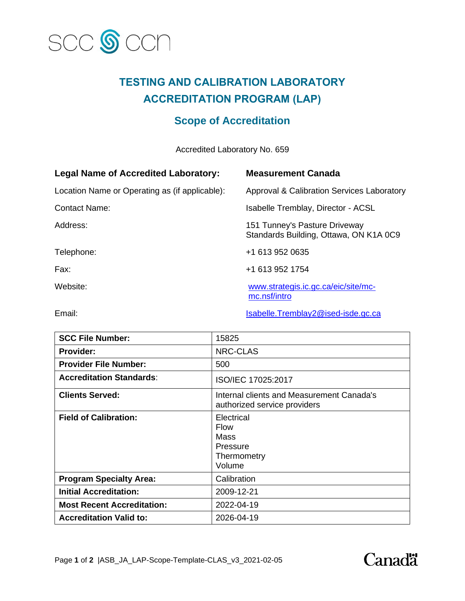

## **TESTING AND CALIBRATION LABORATORY ACCREDITATION PROGRAM (LAP)**

## **Scope of Accreditation**

Accredited Laboratory No. 659

| <b>Legal Name of Accredited Laboratory:</b>    | <b>Measurement Canada</b>                                               |
|------------------------------------------------|-------------------------------------------------------------------------|
| Location Name or Operating as (if applicable): | Approval & Calibration Services Laboratory                              |
| <b>Contact Name:</b>                           | Isabelle Tremblay, Director - ACSL                                      |
| Address:                                       | 151 Tunney's Pasture Driveway<br>Standards Building, Ottawa, ON K1A 0C9 |
| Telephone:                                     | +1 613 952 0635                                                         |
| Fax:                                           | +1 613 952 1754                                                         |
| Website:                                       | www.strategis.ic.gc.ca/eic/site/mc-<br>mc.nsf/intro                     |
|                                                |                                                                         |

Email: Isabelle.Tremblay2@ised-isde.gc.ca

| <b>SCC File Number:</b>           | 15825                                                                     |
|-----------------------------------|---------------------------------------------------------------------------|
| <b>Provider:</b>                  | <b>NRC-CLAS</b>                                                           |
| <b>Provider File Number:</b>      | 500                                                                       |
| <b>Accreditation Standards:</b>   | ISO/IEC 17025:2017                                                        |
| <b>Clients Served:</b>            | Internal clients and Measurement Canada's<br>authorized service providers |
| <b>Field of Calibration:</b>      | Electrical<br>Flow<br>Mass<br>Pressure<br>Thermometry<br>Volume           |
| <b>Program Specialty Area:</b>    | Calibration                                                               |
| <b>Initial Accreditation:</b>     | 2009-12-21                                                                |
| <b>Most Recent Accreditation:</b> | 2022-04-19                                                                |
| <b>Accreditation Valid to:</b>    | 2026-04-19                                                                |